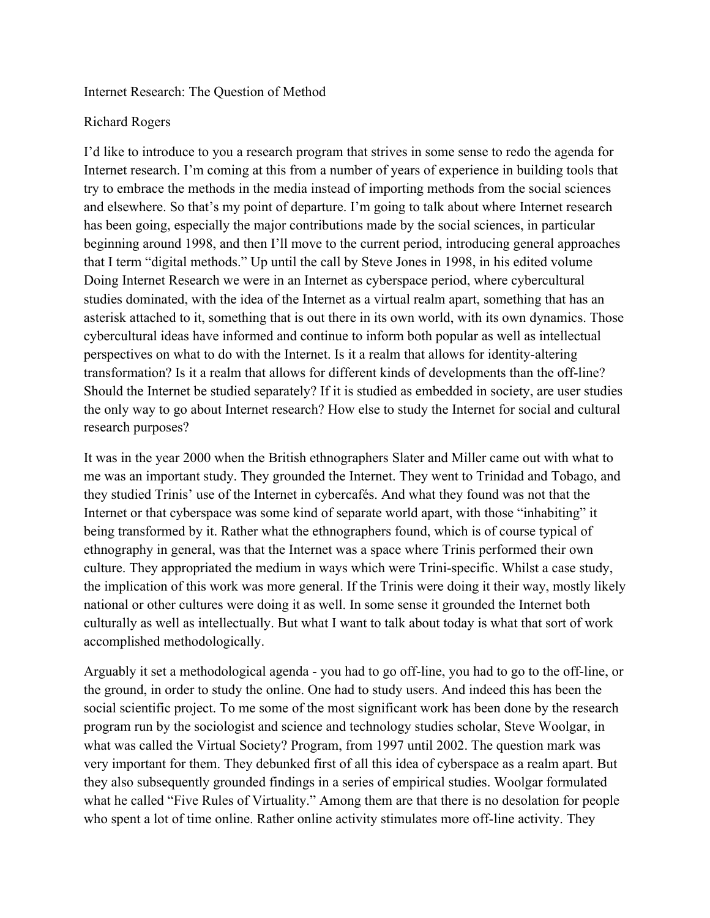Internet Research: The Question of Method

## Richard Rogers

I'd like to introduce to you a research program that strives in some sense to redo the agenda for Internet research. I'm coming at this from a number of years of experience in building tools that try to embrace the methods in the media instead of importing methods from the social sciences and elsewhere. So that's my point of departure. I'm going to talk about where Internet research has been going, especially the major contributions made by the social sciences, in particular beginning around 1998, and then I'll move to the current period, introducing general approaches that I term "digital methods." Up until the call by Steve Jones in 1998, in his edited volume Doing Internet Research we were in an Internet as cyberspace period, where cybercultural studies dominated, with the idea of the Internet as a virtual realm apart, something that has an asterisk attached to it, something that is out there in its own world, with its own dynamics. Those cybercultural ideas have informed and continue to inform both popular as well as intellectual perspectives on what to do with the Internet. Is it a realm that allows for identity-altering transformation? Is it a realm that allows for different kinds of developments than the off-line? Should the Internet be studied separately? If it is studied as embedded in society, are user studies the only way to go about Internet research? How else to study the Internet for social and cultural research purposes?

It was in the year 2000 when the British ethnographers Slater and Miller came out with what to me was an important study. They grounded the Internet. They went to Trinidad and Tobago, and they studied Trinis' use of the Internet in cybercafés. And what they found was not that the Internet or that cyberspace was some kind of separate world apart, with those "inhabiting" it being transformed by it. Rather what the ethnographers found, which is of course typical of ethnography in general, was that the Internet was a space where Trinis performed their own culture. They appropriated the medium in ways which were Trini-specific. Whilst a case study, the implication of this work was more general. If the Trinis were doing it their way, mostly likely national or other cultures were doing it as well. In some sense it grounded the Internet both culturally as well as intellectually. But what I want to talk about today is what that sort of work accomplished methodologically.

Arguably it set a methodological agenda - you had to go off-line, you had to go to the off-line, or the ground, in order to study the online. One had to study users. And indeed this has been the social scientific project. To me some of the most significant work has been done by the research program run by the sociologist and science and technology studies scholar, Steve Woolgar, in what was called the Virtual Society? Program, from 1997 until 2002. The question mark was very important for them. They debunked first of all this idea of cyberspace as a realm apart. But they also subsequently grounded findings in a series of empirical studies. Woolgar formulated what he called "Five Rules of Virtuality." Among them are that there is no desolation for people who spent a lot of time online. Rather online activity stimulates more off-line activity. They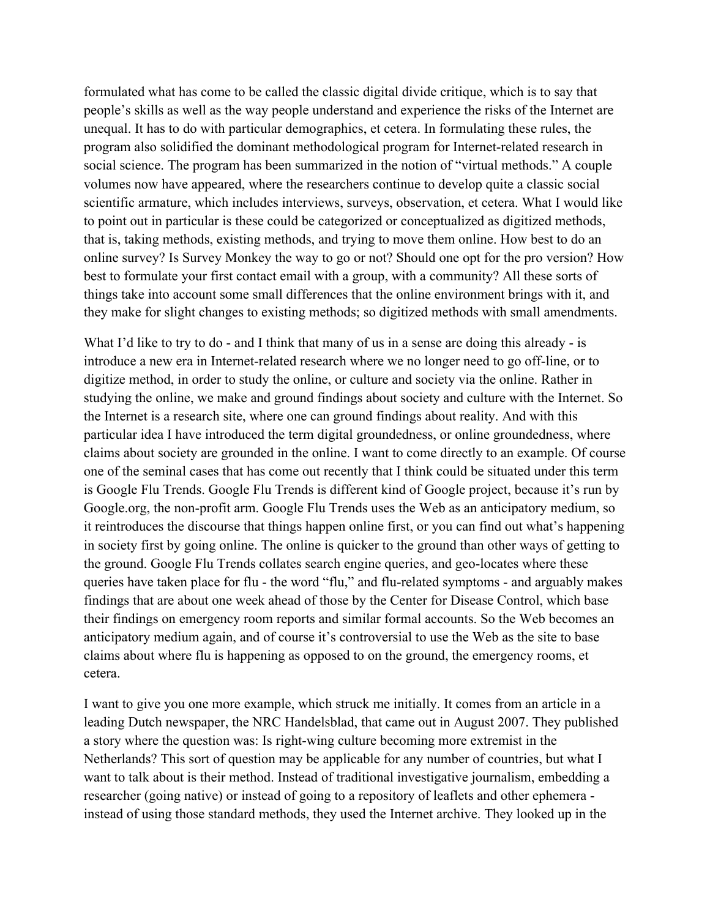formulated what has come to be called the classic digital divide critique, which is to say that people's skills as well as the way people understand and experience the risks of the Internet are unequal. It has to do with particular demographics, et cetera. In formulating these rules, the program also solidified the dominant methodological program for Internet-related research in social science. The program has been summarized in the notion of "virtual methods." A couple volumes now have appeared, where the researchers continue to develop quite a classic social scientific armature, which includes interviews, surveys, observation, et cetera. What I would like to point out in particular is these could be categorized or conceptualized as digitized methods, that is, taking methods, existing methods, and trying to move them online. How best to do an online survey? Is Survey Monkey the way to go or not? Should one opt for the pro version? How best to formulate your first contact email with a group, with a community? All these sorts of things take into account some small differences that the online environment brings with it, and they make for slight changes to existing methods; so digitized methods with small amendments.

What I'd like to try to do - and I think that many of us in a sense are doing this already - is introduce a new era in Internet-related research where we no longer need to go off-line, or to digitize method, in order to study the online, or culture and society via the online. Rather in studying the online, we make and ground findings about society and culture with the Internet. So the Internet is a research site, where one can ground findings about reality. And with this particular idea I have introduced the term digital groundedness, or online groundedness, where claims about society are grounded in the online. I want to come directly to an example. Of course one of the seminal cases that has come out recently that I think could be situated under this term is Google Flu Trends. Google Flu Trends is different kind of Google project, because it's run by Google.org, the non-profit arm. Google Flu Trends uses the Web as an anticipatory medium, so it reintroduces the discourse that things happen online first, or you can find out what's happening in society first by going online. The online is quicker to the ground than other ways of getting to the ground. Google Flu Trends collates search engine queries, and geo-locates where these queries have taken place for flu - the word "flu," and flu-related symptoms - and arguably makes findings that are about one week ahead of those by the Center for Disease Control, which base their findings on emergency room reports and similar formal accounts. So the Web becomes an anticipatory medium again, and of course it's controversial to use the Web as the site to base claims about where flu is happening as opposed to on the ground, the emergency rooms, et cetera.

I want to give you one more example, which struck me initially. It comes from an article in a leading Dutch newspaper, the NRC Handelsblad, that came out in August 2007. They published a story where the question was: Is right-wing culture becoming more extremist in the Netherlands? This sort of question may be applicable for any number of countries, but what I want to talk about is their method. Instead of traditional investigative journalism, embedding a researcher (going native) or instead of going to a repository of leaflets and other ephemera instead of using those standard methods, they used the Internet archive. They looked up in the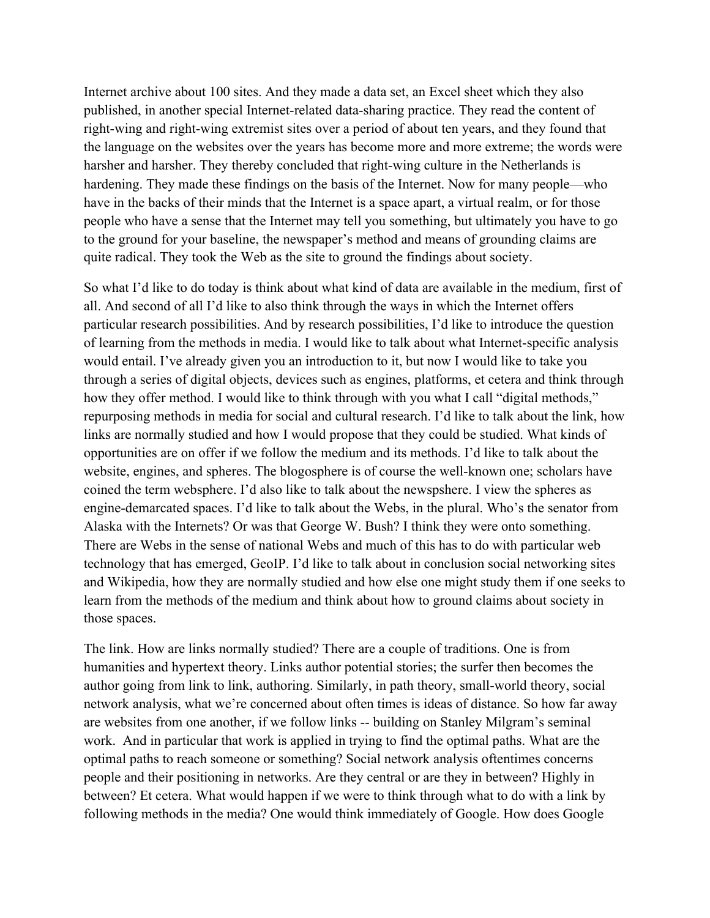Internet archive about 100 sites. And they made a data set, an Excel sheet which they also published, in another special Internet-related data-sharing practice. They read the content of right-wing and right-wing extremist sites over a period of about ten years, and they found that the language on the websites over the years has become more and more extreme; the words were harsher and harsher. They thereby concluded that right-wing culture in the Netherlands is hardening. They made these findings on the basis of the Internet. Now for many people—who have in the backs of their minds that the Internet is a space apart, a virtual realm, or for those people who have a sense that the Internet may tell you something, but ultimately you have to go to the ground for your baseline, the newspaper's method and means of grounding claims are quite radical. They took the Web as the site to ground the findings about society.

So what I'd like to do today is think about what kind of data are available in the medium, first of all. And second of all I'd like to also think through the ways in which the Internet offers particular research possibilities. And by research possibilities, I'd like to introduce the question of learning from the methods in media. I would like to talk about what Internet-specific analysis would entail. I've already given you an introduction to it, but now I would like to take you through a series of digital objects, devices such as engines, platforms, et cetera and think through how they offer method. I would like to think through with you what I call "digital methods," repurposing methods in media for social and cultural research. I'd like to talk about the link, how links are normally studied and how I would propose that they could be studied. What kinds of opportunities are on offer if we follow the medium and its methods. I'd like to talk about the website, engines, and spheres. The blogosphere is of course the well-known one; scholars have coined the term websphere. I'd also like to talk about the newspshere. I view the spheres as engine-demarcated spaces. I'd like to talk about the Webs, in the plural. Who's the senator from Alaska with the Internets? Or was that George W. Bush? I think they were onto something. There are Webs in the sense of national Webs and much of this has to do with particular web technology that has emerged, GeoIP. I'd like to talk about in conclusion social networking sites and Wikipedia, how they are normally studied and how else one might study them if one seeks to learn from the methods of the medium and think about how to ground claims about society in those spaces.

The link. How are links normally studied? There are a couple of traditions. One is from humanities and hypertext theory. Links author potential stories; the surfer then becomes the author going from link to link, authoring. Similarly, in path theory, small-world theory, social network analysis, what we're concerned about often times is ideas of distance. So how far away are websites from one another, if we follow links -- building on Stanley Milgram's seminal work. And in particular that work is applied in trying to find the optimal paths. What are the optimal paths to reach someone or something? Social network analysis oftentimes concerns people and their positioning in networks. Are they central or are they in between? Highly in between? Et cetera. What would happen if we were to think through what to do with a link by following methods in the media? One would think immediately of Google. How does Google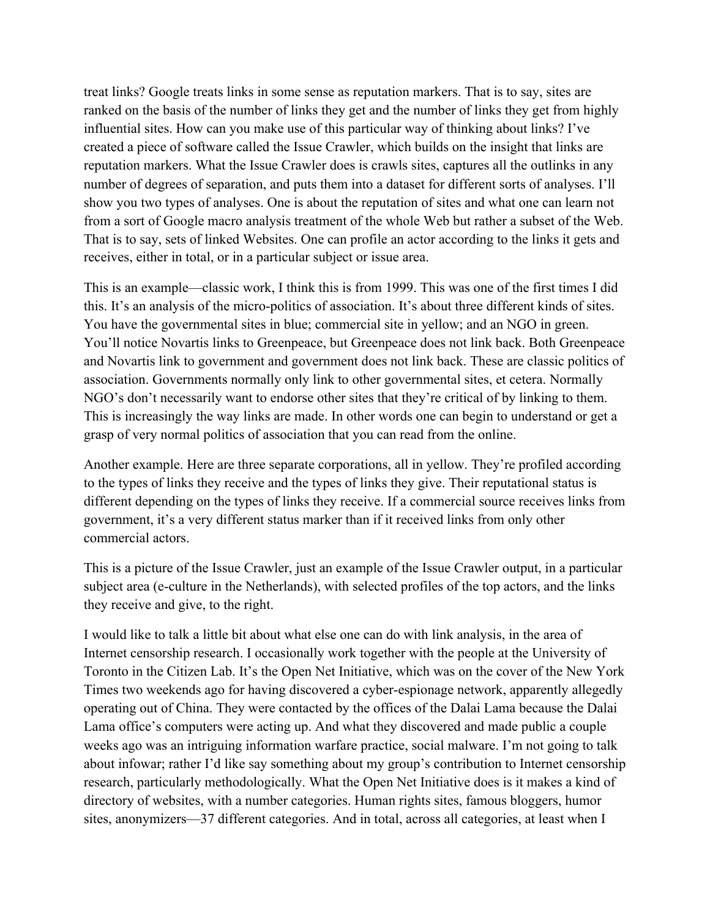treat links? Google treats links in some sense as reputation markers. That is to say, sites are ranked on the basis of the number of links they get and the number of links they get from highly influential sites. How can you make use of this particular way of thinking about links? I've created a piece of software called the Issue Crawler, which builds on the insight that links are reputation markers. What the Issue Crawler does is crawls sites, captures all the outlinks in any number of degrees of separation, and puts them into a dataset for different sorts of analyses. I'll show you two types of analyses. One is about the reputation of sites and what one can learn not from a sort of Google macro analysis treatment of the whole Web but rather a subset of the Web. That is to say, sets of linked Websites. One can profile an actor according to the links it gets and receives, either in total, or in a particular subject or issue area.

This is an example—classic work, I think this is from 1999. This was one of the first times I did this. It's an analysis of the micro-politics of association. It's about three different kinds of sites. You have the governmental sites in blue; commercial site in yellow; and an NGO in green. You'll notice Novartis links to Greenpeace, but Greenpeace does not link back. Both Greenpeace and Novartis link to government and government does not link back. These are classic politics of association. Governments normally only link to other governmental sites, et cetera. Normally NGO's don't necessarily want to endorse other sites that they're critical of by linking to them. This is increasingly the way links are made. In other words one can begin to understand or get a grasp of very normal politics of association that you can read from the online.

Another example. Here are three separate corporations, all in yellow. They're profiled according to the types of links they receive and the types of links they give. Their reputational status is different depending on the types of links they receive. If a commercial source receives links from government, it's a very different status marker than if it received links from only other commercial actors.

This is a picture of the Issue Crawler, just an example of the Issue Crawler output, in a particular subject area (e-culture in the Netherlands), with selected profiles of the top actors, and the links they receive and give, to the right.

I would like to talk a little bit about what else one can do with link analysis, in the area of Internet censorship research. I occasionally work together with the people at the University of Toronto in the Citizen Lab. It's the Open Net Initiative, which was on the cover of the New York Times two weekends ago for having discovered a cyber-espionage network, apparently allegedly operating out of China. They were contacted by the offices of the Dalai Lama because the Dalai Lama office's computers were acting up. And what they discovered and made public a couple weeks ago was an intriguing information warfare practice, social malware. I'm not going to talk about infowar; rather I'd like say something about my group's contribution to Internet censorship research, particularly methodologically. What the Open Net Initiative does is it makes a kind of directory of websites, with a number categories. Human rights sites, famous bloggers, humor sites, anonymizers—37 different categories. And in total, across all categories, at least when I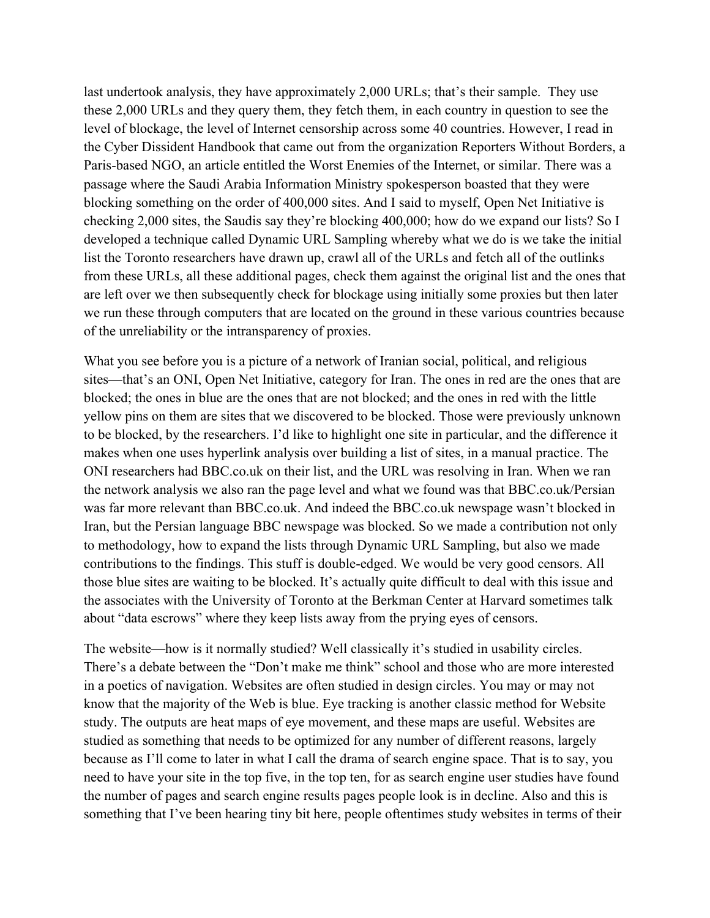last undertook analysis, they have approximately 2,000 URLs; that's their sample. They use these 2,000 URLs and they query them, they fetch them, in each country in question to see the level of blockage, the level of Internet censorship across some 40 countries. However, I read in the Cyber Dissident Handbook that came out from the organization Reporters Without Borders, a Paris-based NGO, an article entitled the Worst Enemies of the Internet, or similar. There was a passage where the Saudi Arabia Information Ministry spokesperson boasted that they were blocking something on the order of 400,000 sites. And I said to myself, Open Net Initiative is checking 2,000 sites, the Saudis say they're blocking 400,000; how do we expand our lists? So I developed a technique called Dynamic URL Sampling whereby what we do is we take the initial list the Toronto researchers have drawn up, crawl all of the URLs and fetch all of the outlinks from these URLs, all these additional pages, check them against the original list and the ones that are left over we then subsequently check for blockage using initially some proxies but then later we run these through computers that are located on the ground in these various countries because of the unreliability or the intransparency of proxies.

What you see before you is a picture of a network of Iranian social, political, and religious sites—that's an ONI, Open Net Initiative, category for Iran. The ones in red are the ones that are blocked; the ones in blue are the ones that are not blocked; and the ones in red with the little yellow pins on them are sites that we discovered to be blocked. Those were previously unknown to be blocked, by the researchers. I'd like to highlight one site in particular, and the difference it makes when one uses hyperlink analysis over building a list of sites, in a manual practice. The ONI researchers had BBC.co.uk on their list, and the URL was resolving in Iran. When we ran the network analysis we also ran the page level and what we found was that BBC.co.uk/Persian was far more relevant than BBC.co.uk. And indeed the BBC.co.uk newspage wasn't blocked in Iran, but the Persian language BBC newspage was blocked. So we made a contribution not only to methodology, how to expand the lists through Dynamic URL Sampling, but also we made contributions to the findings. This stuff is double-edged. We would be very good censors. All those blue sites are waiting to be blocked. It's actually quite difficult to deal with this issue and the associates with the University of Toronto at the Berkman Center at Harvard sometimes talk about "data escrows" where they keep lists away from the prying eyes of censors.

The website—how is it normally studied? Well classically it's studied in usability circles. There's a debate between the "Don't make me think" school and those who are more interested in a poetics of navigation. Websites are often studied in design circles. You may or may not know that the majority of the Web is blue. Eye tracking is another classic method for Website study. The outputs are heat maps of eye movement, and these maps are useful. Websites are studied as something that needs to be optimized for any number of different reasons, largely because as I'll come to later in what I call the drama of search engine space. That is to say, you need to have your site in the top five, in the top ten, for as search engine user studies have found the number of pages and search engine results pages people look is in decline. Also and this is something that I've been hearing tiny bit here, people oftentimes study websites in terms of their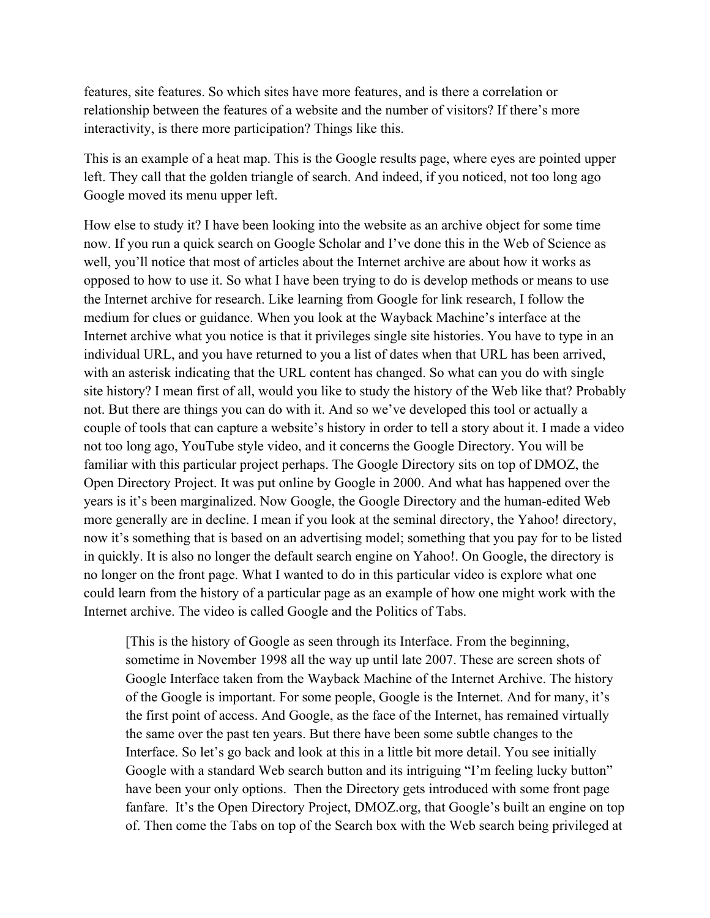features, site features. So which sites have more features, and is there a correlation or relationship between the features of a website and the number of visitors? If there's more interactivity, is there more participation? Things like this.

This is an example of a heat map. This is the Google results page, where eyes are pointed upper left. They call that the golden triangle of search. And indeed, if you noticed, not too long ago Google moved its menu upper left.

How else to study it? I have been looking into the website as an archive object for some time now. If you run a quick search on Google Scholar and I've done this in the Web of Science as well, you'll notice that most of articles about the Internet archive are about how it works as opposed to how to use it. So what I have been trying to do is develop methods or means to use the Internet archive for research. Like learning from Google for link research, I follow the medium for clues or guidance. When you look at the Wayback Machine's interface at the Internet archive what you notice is that it privileges single site histories. You have to type in an individual URL, and you have returned to you a list of dates when that URL has been arrived, with an asterisk indicating that the URL content has changed. So what can you do with single site history? I mean first of all, would you like to study the history of the Web like that? Probably not. But there are things you can do with it. And so we've developed this tool or actually a couple of tools that can capture a website's history in order to tell a story about it. I made a video not too long ago, YouTube style video, and it concerns the Google Directory. You will be familiar with this particular project perhaps. The Google Directory sits on top of DMOZ, the Open Directory Project. It was put online by Google in 2000. And what has happened over the years is it's been marginalized. Now Google, the Google Directory and the human-edited Web more generally are in decline. I mean if you look at the seminal directory, the Yahoo! directory, now it's something that is based on an advertising model; something that you pay for to be listed in quickly. It is also no longer the default search engine on Yahoo!. On Google, the directory is no longer on the front page. What I wanted to do in this particular video is explore what one could learn from the history of a particular page as an example of how one might work with the Internet archive. The video is called Google and the Politics of Tabs.

[This is the history of Google as seen through its Interface. From the beginning, sometime in November 1998 all the way up until late 2007. These are screen shots of Google Interface taken from the Wayback Machine of the Internet Archive. The history of the Google is important. For some people, Google is the Internet. And for many, it's the first point of access. And Google, as the face of the Internet, has remained virtually the same over the past ten years. But there have been some subtle changes to the Interface. So let's go back and look at this in a little bit more detail. You see initially Google with a standard Web search button and its intriguing "I'm feeling lucky button" have been your only options. Then the Directory gets introduced with some front page fanfare. It's the Open Directory Project, DMOZ.org, that Google's built an engine on top of. Then come the Tabs on top of the Search box with the Web search being privileged at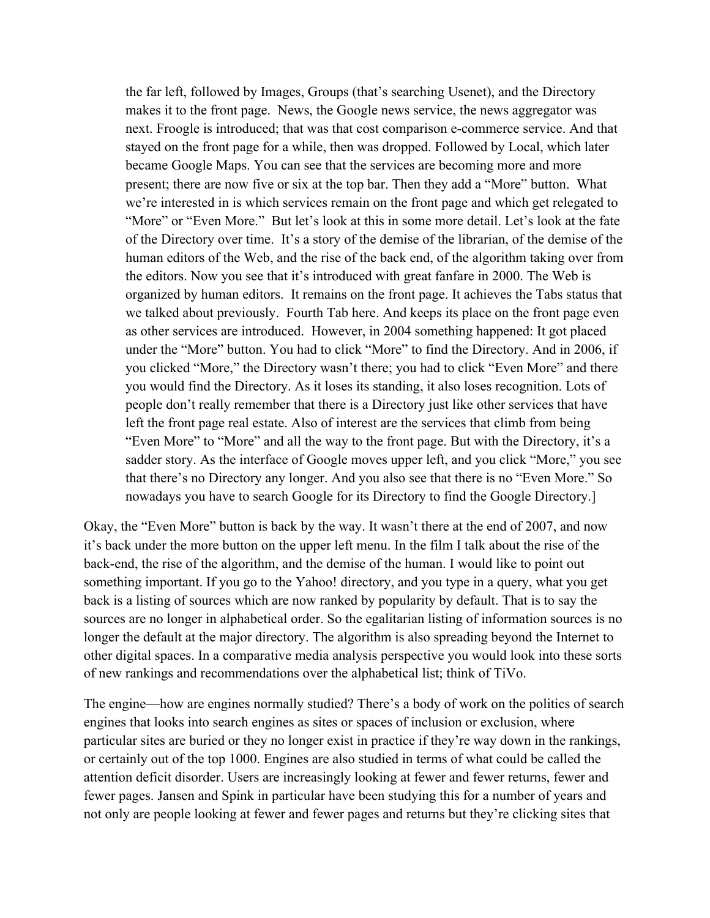the far left, followed by Images, Groups (that's searching Usenet), and the Directory makes it to the front page. News, the Google news service, the news aggregator was next. Froogle is introduced; that was that cost comparison e-commerce service. And that stayed on the front page for a while, then was dropped. Followed by Local, which later became Google Maps. You can see that the services are becoming more and more present; there are now five or six at the top bar. Then they add a "More" button. What we're interested in is which services remain on the front page and which get relegated to "More" or "Even More." But let's look at this in some more detail. Let's look at the fate of the Directory over time. It's a story of the demise of the librarian, of the demise of the human editors of the Web, and the rise of the back end, of the algorithm taking over from the editors. Now you see that it's introduced with great fanfare in 2000. The Web is organized by human editors. It remains on the front page. It achieves the Tabs status that we talked about previously. Fourth Tab here. And keeps its place on the front page even as other services are introduced. However, in 2004 something happened: It got placed under the "More" button. You had to click "More" to find the Directory. And in 2006, if you clicked "More," the Directory wasn't there; you had to click "Even More" and there you would find the Directory. As it loses its standing, it also loses recognition. Lots of people don't really remember that there is a Directory just like other services that have left the front page real estate. Also of interest are the services that climb from being "Even More" to "More" and all the way to the front page. But with the Directory, it's a sadder story. As the interface of Google moves upper left, and you click "More," you see that there's no Directory any longer. And you also see that there is no "Even More." So nowadays you have to search Google for its Directory to find the Google Directory.]

Okay, the "Even More" button is back by the way. It wasn't there at the end of 2007, and now it's back under the more button on the upper left menu. In the film I talk about the rise of the back-end, the rise of the algorithm, and the demise of the human. I would like to point out something important. If you go to the Yahoo! directory, and you type in a query, what you get back is a listing of sources which are now ranked by popularity by default. That is to say the sources are no longer in alphabetical order. So the egalitarian listing of information sources is no longer the default at the major directory. The algorithm is also spreading beyond the Internet to other digital spaces. In a comparative media analysis perspective you would look into these sorts of new rankings and recommendations over the alphabetical list; think of TiVo.

The engine—how are engines normally studied? There's a body of work on the politics of search engines that looks into search engines as sites or spaces of inclusion or exclusion, where particular sites are buried or they no longer exist in practice if they're way down in the rankings, or certainly out of the top 1000. Engines are also studied in terms of what could be called the attention deficit disorder. Users are increasingly looking at fewer and fewer returns, fewer and fewer pages. Jansen and Spink in particular have been studying this for a number of years and not only are people looking at fewer and fewer pages and returns but they're clicking sites that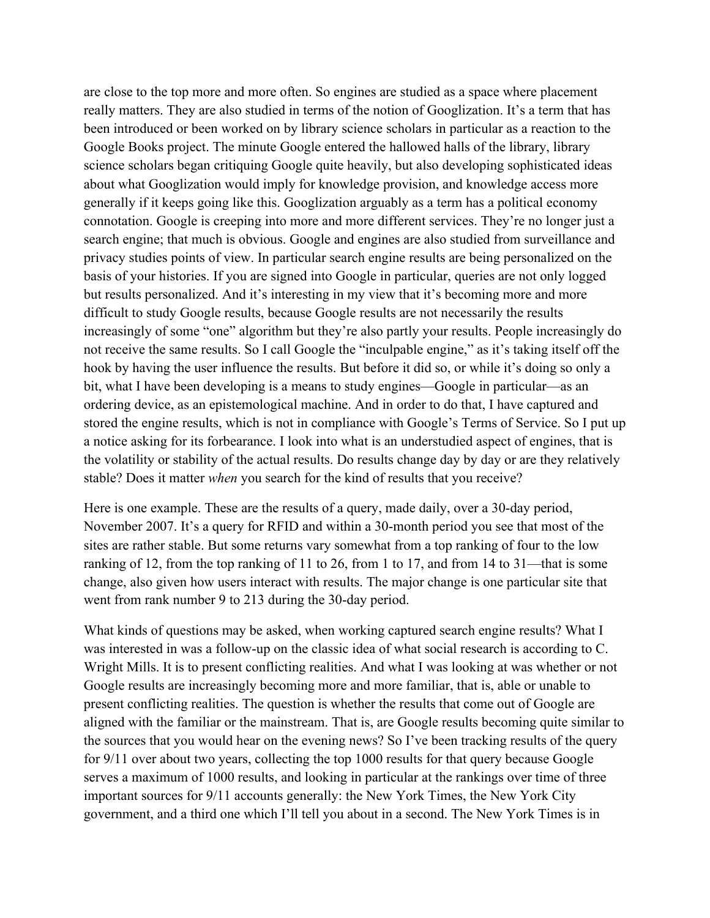are close to the top more and more often. So engines are studied as a space where placement really matters. They are also studied in terms of the notion of Googlization. It's a term that has been introduced or been worked on by library science scholars in particular as a reaction to the Google Books project. The minute Google entered the hallowed halls of the library, library science scholars began critiquing Google quite heavily, but also developing sophisticated ideas about what Googlization would imply for knowledge provision, and knowledge access more generally if it keeps going like this. Googlization arguably as a term has a political economy connotation. Google is creeping into more and more different services. They're no longer just a search engine; that much is obvious. Google and engines are also studied from surveillance and privacy studies points of view. In particular search engine results are being personalized on the basis of your histories. If you are signed into Google in particular, queries are not only logged but results personalized. And it's interesting in my view that it's becoming more and more difficult to study Google results, because Google results are not necessarily the results increasingly of some "one" algorithm but they're also partly your results. People increasingly do not receive the same results. So I call Google the "inculpable engine," as it's taking itself off the hook by having the user influence the results. But before it did so, or while it's doing so only a bit, what I have been developing is a means to study engines—Google in particular—as an ordering device, as an epistemological machine. And in order to do that, I have captured and stored the engine results, which is not in compliance with Google's Terms of Service. So I put up a notice asking for its forbearance. I look into what is an understudied aspect of engines, that is the volatility or stability of the actual results. Do results change day by day or are they relatively stable? Does it matter *when* you search for the kind of results that you receive?

Here is one example. These are the results of a query, made daily, over a 30-day period, November 2007. It's a query for RFID and within a 30-month period you see that most of the sites are rather stable. But some returns vary somewhat from a top ranking of four to the low ranking of 12, from the top ranking of 11 to 26, from 1 to 17, and from 14 to 31—that is some change, also given how users interact with results. The major change is one particular site that went from rank number 9 to 213 during the 30-day period.

What kinds of questions may be asked, when working captured search engine results? What I was interested in was a follow-up on the classic idea of what social research is according to C. Wright Mills. It is to present conflicting realities. And what I was looking at was whether or not Google results are increasingly becoming more and more familiar, that is, able or unable to present conflicting realities. The question is whether the results that come out of Google are aligned with the familiar or the mainstream. That is, are Google results becoming quite similar to the sources that you would hear on the evening news? So I've been tracking results of the query for 9/11 over about two years, collecting the top 1000 results for that query because Google serves a maximum of 1000 results, and looking in particular at the rankings over time of three important sources for 9/11 accounts generally: the New York Times, the New York City government, and a third one which I'll tell you about in a second. The New York Times is in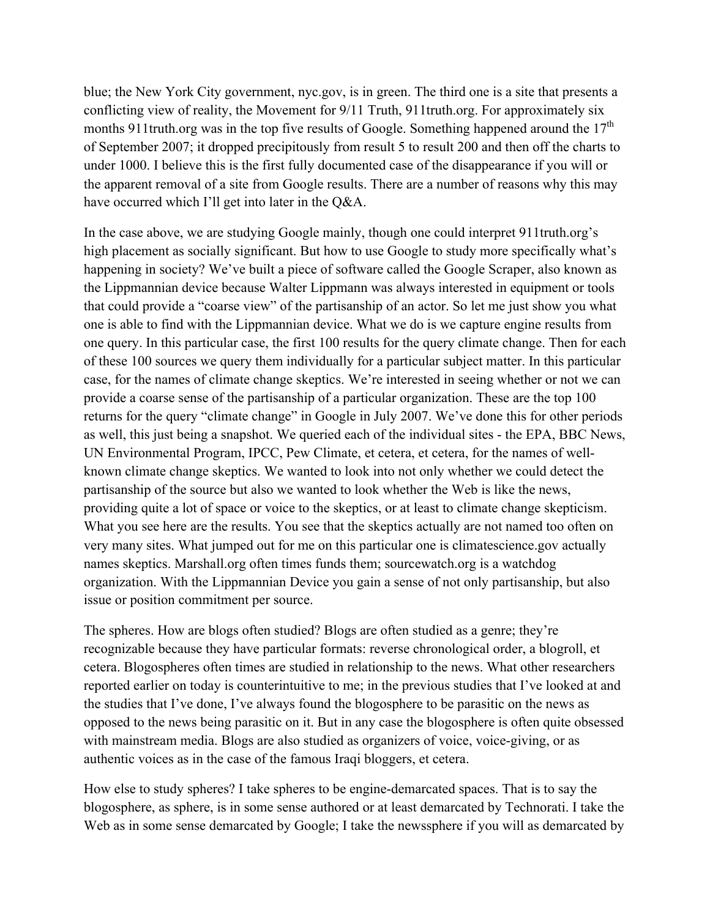blue; the New York City government, nyc.gov, is in green. The third one is a site that presents a conflicting view of reality, the Movement for 9/11 Truth, 911truth.org. For approximately six months 911truth.org was in the top five results of Google. Something happened around the  $17<sup>th</sup>$ of September 2007; it dropped precipitously from result 5 to result 200 and then off the charts to under 1000. I believe this is the first fully documented case of the disappearance if you will or the apparent removal of a site from Google results. There are a number of reasons why this may have occurred which I'll get into later in the Q&A.

In the case above, we are studying Google mainly, though one could interpret 911truth.org's high placement as socially significant. But how to use Google to study more specifically what's happening in society? We've built a piece of software called the Google Scraper, also known as the Lippmannian device because Walter Lippmann was always interested in equipment or tools that could provide a "coarse view" of the partisanship of an actor. So let me just show you what one is able to find with the Lippmannian device. What we do is we capture engine results from one query. In this particular case, the first 100 results for the query climate change. Then for each of these 100 sources we query them individually for a particular subject matter. In this particular case, for the names of climate change skeptics. We're interested in seeing whether or not we can provide a coarse sense of the partisanship of a particular organization. These are the top 100 returns for the query "climate change" in Google in July 2007. We've done this for other periods as well, this just being a snapshot. We queried each of the individual sites - the EPA, BBC News, UN Environmental Program, IPCC, Pew Climate, et cetera, et cetera, for the names of wellknown climate change skeptics. We wanted to look into not only whether we could detect the partisanship of the source but also we wanted to look whether the Web is like the news, providing quite a lot of space or voice to the skeptics, or at least to climate change skepticism. What you see here are the results. You see that the skeptics actually are not named too often on very many sites. What jumped out for me on this particular one is climatescience.gov actually names skeptics. Marshall.org often times funds them; sourcewatch.org is a watchdog organization. With the Lippmannian Device you gain a sense of not only partisanship, but also issue or position commitment per source.

The spheres. How are blogs often studied? Blogs are often studied as a genre; they're recognizable because they have particular formats: reverse chronological order, a blogroll, et cetera. Blogospheres often times are studied in relationship to the news. What other researchers reported earlier on today is counterintuitive to me; in the previous studies that I've looked at and the studies that I've done, I've always found the blogosphere to be parasitic on the news as opposed to the news being parasitic on it. But in any case the blogosphere is often quite obsessed with mainstream media. Blogs are also studied as organizers of voice, voice-giving, or as authentic voices as in the case of the famous Iraqi bloggers, et cetera.

How else to study spheres? I take spheres to be engine-demarcated spaces. That is to say the blogosphere, as sphere, is in some sense authored or at least demarcated by Technorati. I take the Web as in some sense demarcated by Google; I take the newssphere if you will as demarcated by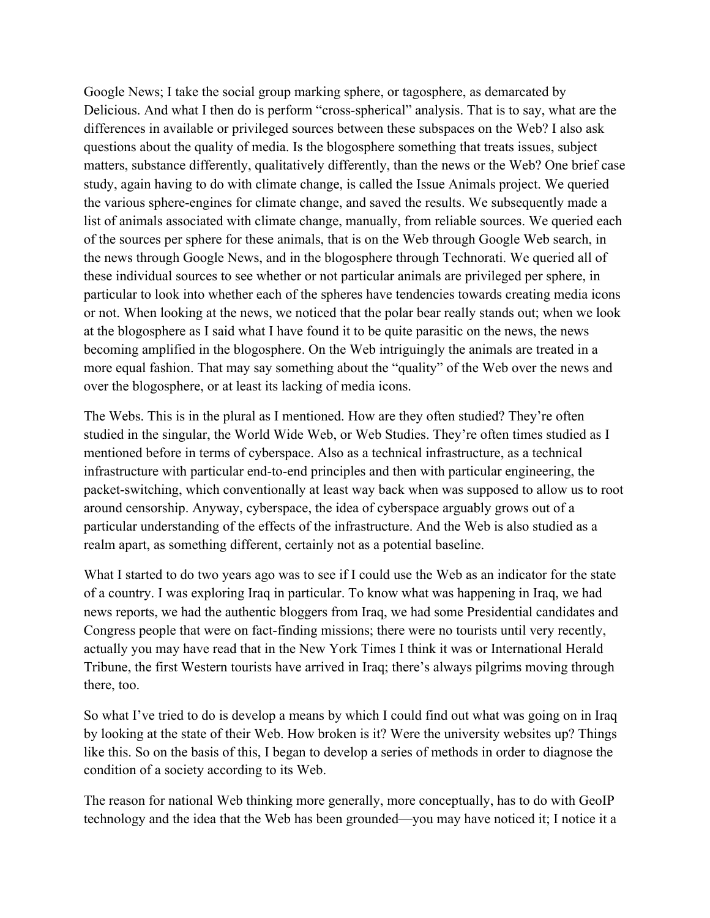Google News; I take the social group marking sphere, or tagosphere, as demarcated by Delicious. And what I then do is perform "cross-spherical" analysis. That is to say, what are the differences in available or privileged sources between these subspaces on the Web? I also ask questions about the quality of media. Is the blogosphere something that treats issues, subject matters, substance differently, qualitatively differently, than the news or the Web? One brief case study, again having to do with climate change, is called the Issue Animals project. We queried the various sphere-engines for climate change, and saved the results. We subsequently made a list of animals associated with climate change, manually, from reliable sources. We queried each of the sources per sphere for these animals, that is on the Web through Google Web search, in the news through Google News, and in the blogosphere through Technorati. We queried all of these individual sources to see whether or not particular animals are privileged per sphere, in particular to look into whether each of the spheres have tendencies towards creating media icons or not. When looking at the news, we noticed that the polar bear really stands out; when we look at the blogosphere as I said what I have found it to be quite parasitic on the news, the news becoming amplified in the blogosphere. On the Web intriguingly the animals are treated in a more equal fashion. That may say something about the "quality" of the Web over the news and over the blogosphere, or at least its lacking of media icons.

The Webs. This is in the plural as I mentioned. How are they often studied? They're often studied in the singular, the World Wide Web, or Web Studies. They're often times studied as I mentioned before in terms of cyberspace. Also as a technical infrastructure, as a technical infrastructure with particular end-to-end principles and then with particular engineering, the packet-switching, which conventionally at least way back when was supposed to allow us to root around censorship. Anyway, cyberspace, the idea of cyberspace arguably grows out of a particular understanding of the effects of the infrastructure. And the Web is also studied as a realm apart, as something different, certainly not as a potential baseline.

What I started to do two years ago was to see if I could use the Web as an indicator for the state of a country. I was exploring Iraq in particular. To know what was happening in Iraq, we had news reports, we had the authentic bloggers from Iraq, we had some Presidential candidates and Congress people that were on fact-finding missions; there were no tourists until very recently, actually you may have read that in the New York Times I think it was or International Herald Tribune, the first Western tourists have arrived in Iraq; there's always pilgrims moving through there, too.

So what I've tried to do is develop a means by which I could find out what was going on in Iraq by looking at the state of their Web. How broken is it? Were the university websites up? Things like this. So on the basis of this, I began to develop a series of methods in order to diagnose the condition of a society according to its Web.

The reason for national Web thinking more generally, more conceptually, has to do with GeoIP technology and the idea that the Web has been grounded—you may have noticed it; I notice it a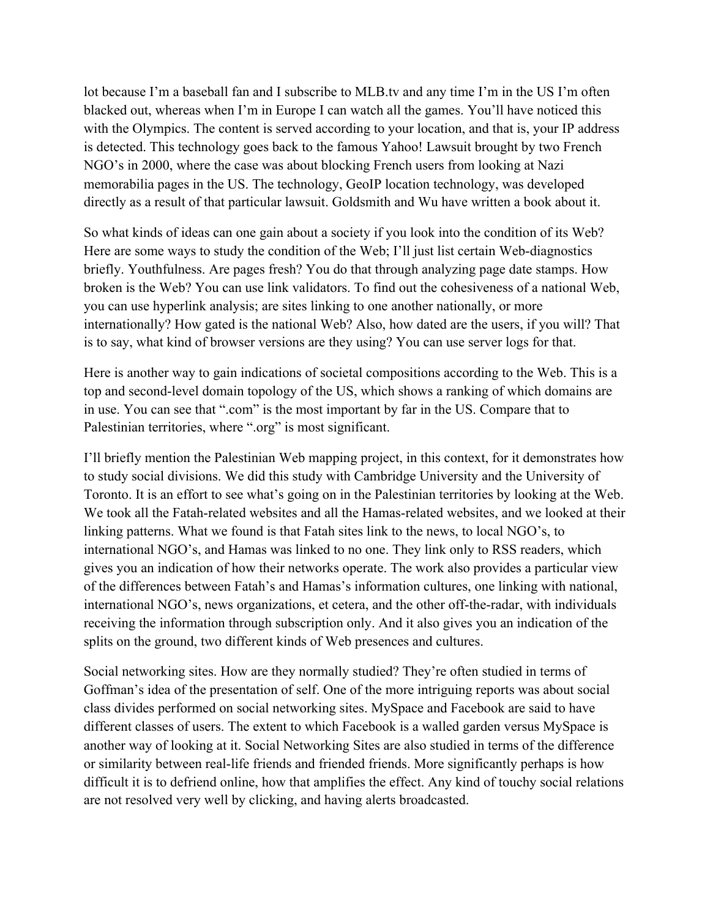lot because I'm a baseball fan and I subscribe to MLB.tv and any time I'm in the US I'm often blacked out, whereas when I'm in Europe I can watch all the games. You'll have noticed this with the Olympics. The content is served according to your location, and that is, your IP address is detected. This technology goes back to the famous Yahoo! Lawsuit brought by two French NGO's in 2000, where the case was about blocking French users from looking at Nazi memorabilia pages in the US. The technology, GeoIP location technology, was developed directly as a result of that particular lawsuit. Goldsmith and Wu have written a book about it.

So what kinds of ideas can one gain about a society if you look into the condition of its Web? Here are some ways to study the condition of the Web; I'll just list certain Web-diagnostics briefly. Youthfulness. Are pages fresh? You do that through analyzing page date stamps. How broken is the Web? You can use link validators. To find out the cohesiveness of a national Web, you can use hyperlink analysis; are sites linking to one another nationally, or more internationally? How gated is the national Web? Also, how dated are the users, if you will? That is to say, what kind of browser versions are they using? You can use server logs for that.

Here is another way to gain indications of societal compositions according to the Web. This is a top and second-level domain topology of the US, which shows a ranking of which domains are in use. You can see that ".com" is the most important by far in the US. Compare that to Palestinian territories, where ".org" is most significant.

I'll briefly mention the Palestinian Web mapping project, in this context, for it demonstrates how to study social divisions. We did this study with Cambridge University and the University of Toronto. It is an effort to see what's going on in the Palestinian territories by looking at the Web. We took all the Fatah-related websites and all the Hamas-related websites, and we looked at their linking patterns. What we found is that Fatah sites link to the news, to local NGO's, to international NGO's, and Hamas was linked to no one. They link only to RSS readers, which gives you an indication of how their networks operate. The work also provides a particular view of the differences between Fatah's and Hamas's information cultures, one linking with national, international NGO's, news organizations, et cetera, and the other off-the-radar, with individuals receiving the information through subscription only. And it also gives you an indication of the splits on the ground, two different kinds of Web presences and cultures.

Social networking sites. How are they normally studied? They're often studied in terms of Goffman's idea of the presentation of self. One of the more intriguing reports was about social class divides performed on social networking sites. MySpace and Facebook are said to have different classes of users. The extent to which Facebook is a walled garden versus MySpace is another way of looking at it. Social Networking Sites are also studied in terms of the difference or similarity between real-life friends and friended friends. More significantly perhaps is how difficult it is to defriend online, how that amplifies the effect. Any kind of touchy social relations are not resolved very well by clicking, and having alerts broadcasted.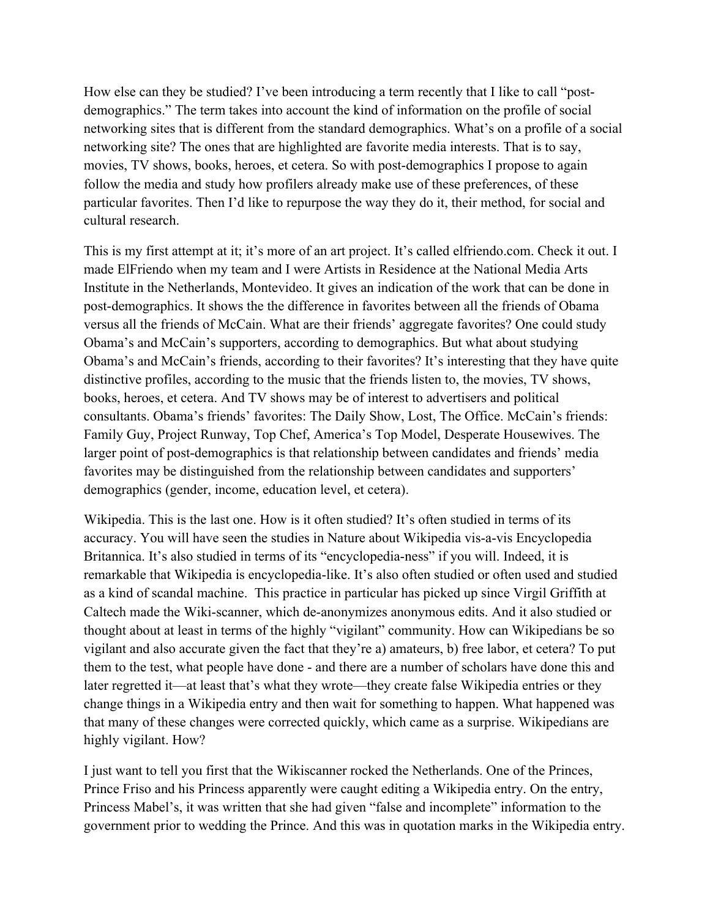How else can they be studied? I've been introducing a term recently that I like to call "postdemographics." The term takes into account the kind of information on the profile of social networking sites that is different from the standard demographics. What's on a profile of a social networking site? The ones that are highlighted are favorite media interests. That is to say, movies, TV shows, books, heroes, et cetera. So with post-demographics I propose to again follow the media and study how profilers already make use of these preferences, of these particular favorites. Then I'd like to repurpose the way they do it, their method, for social and cultural research.

This is my first attempt at it; it's more of an art project. It's called elfriendo.com. Check it out. I made ElFriendo when my team and I were Artists in Residence at the National Media Arts Institute in the Netherlands, Montevideo. It gives an indication of the work that can be done in post-demographics. It shows the the difference in favorites between all the friends of Obama versus all the friends of McCain. What are their friends' aggregate favorites? One could study Obama's and McCain's supporters, according to demographics. But what about studying Obama's and McCain's friends, according to their favorites? It's interesting that they have quite distinctive profiles, according to the music that the friends listen to, the movies, TV shows, books, heroes, et cetera. And TV shows may be of interest to advertisers and political consultants. Obama's friends' favorites: The Daily Show, Lost, The Office. McCain's friends: Family Guy, Project Runway, Top Chef, America's Top Model, Desperate Housewives. The larger point of post-demographics is that relationship between candidates and friends' media favorites may be distinguished from the relationship between candidates and supporters' demographics (gender, income, education level, et cetera).

Wikipedia. This is the last one. How is it often studied? It's often studied in terms of its accuracy. You will have seen the studies in Nature about Wikipedia vis-a-vis Encyclopedia Britannica. It's also studied in terms of its "encyclopedia-ness" if you will. Indeed, it is remarkable that Wikipedia is encyclopedia-like. It's also often studied or often used and studied as a kind of scandal machine. This practice in particular has picked up since Virgil Griffith at Caltech made the Wiki-scanner, which de-anonymizes anonymous edits. And it also studied or thought about at least in terms of the highly "vigilant" community. How can Wikipedians be so vigilant and also accurate given the fact that they're a) amateurs, b) free labor, et cetera? To put them to the test, what people have done - and there are a number of scholars have done this and later regretted it—at least that's what they wrote—they create false Wikipedia entries or they change things in a Wikipedia entry and then wait for something to happen. What happened was that many of these changes were corrected quickly, which came as a surprise. Wikipedians are highly vigilant. How?

I just want to tell you first that the Wikiscanner rocked the Netherlands. One of the Princes, Prince Friso and his Princess apparently were caught editing a Wikipedia entry. On the entry, Princess Mabel's, it was written that she had given "false and incomplete" information to the government prior to wedding the Prince. And this was in quotation marks in the Wikipedia entry.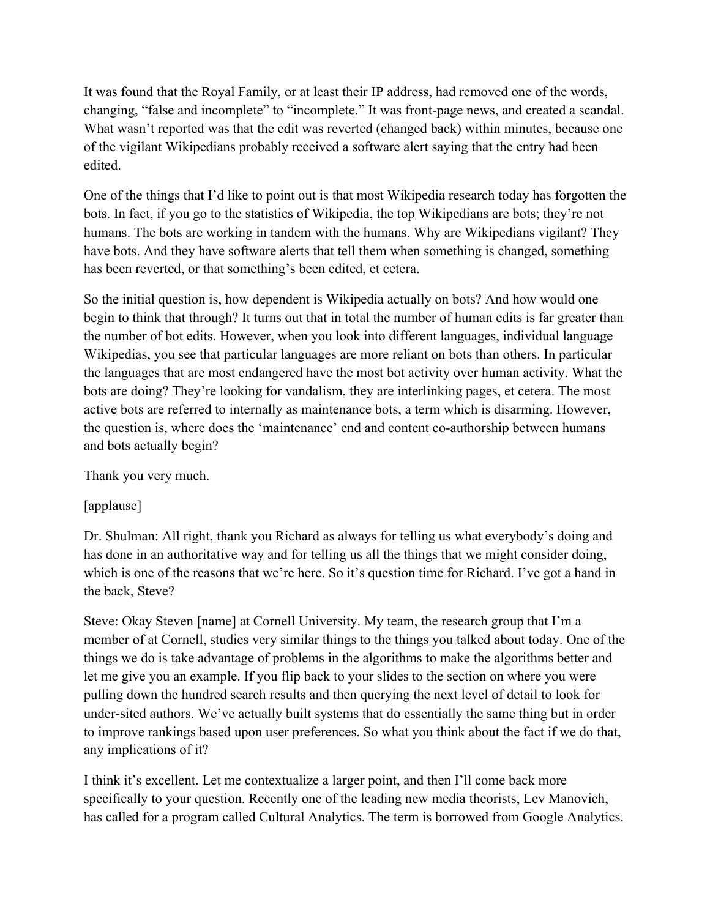It was found that the Royal Family, or at least their IP address, had removed one of the words, changing, "false and incomplete" to "incomplete." It was front-page news, and created a scandal. What wasn't reported was that the edit was reverted (changed back) within minutes, because one of the vigilant Wikipedians probably received a software alert saying that the entry had been edited.

One of the things that I'd like to point out is that most Wikipedia research today has forgotten the bots. In fact, if you go to the statistics of Wikipedia, the top Wikipedians are bots; they're not humans. The bots are working in tandem with the humans. Why are Wikipedians vigilant? They have bots. And they have software alerts that tell them when something is changed, something has been reverted, or that something's been edited, et cetera.

So the initial question is, how dependent is Wikipedia actually on bots? And how would one begin to think that through? It turns out that in total the number of human edits is far greater than the number of bot edits. However, when you look into different languages, individual language Wikipedias, you see that particular languages are more reliant on bots than others. In particular the languages that are most endangered have the most bot activity over human activity. What the bots are doing? They're looking for vandalism, they are interlinking pages, et cetera. The most active bots are referred to internally as maintenance bots, a term which is disarming. However, the question is, where does the 'maintenance' end and content co-authorship between humans and bots actually begin?

Thank you very much.

[applause]

Dr. Shulman: All right, thank you Richard as always for telling us what everybody's doing and has done in an authoritative way and for telling us all the things that we might consider doing, which is one of the reasons that we're here. So it's question time for Richard. I've got a hand in the back, Steve?

Steve: Okay Steven [name] at Cornell University. My team, the research group that I'm a member of at Cornell, studies very similar things to the things you talked about today. One of the things we do is take advantage of problems in the algorithms to make the algorithms better and let me give you an example. If you flip back to your slides to the section on where you were pulling down the hundred search results and then querying the next level of detail to look for under-sited authors. We've actually built systems that do essentially the same thing but in order to improve rankings based upon user preferences. So what you think about the fact if we do that, any implications of it?

I think it's excellent. Let me contextualize a larger point, and then I'll come back more specifically to your question. Recently one of the leading new media theorists, Lev Manovich, has called for a program called Cultural Analytics. The term is borrowed from Google Analytics.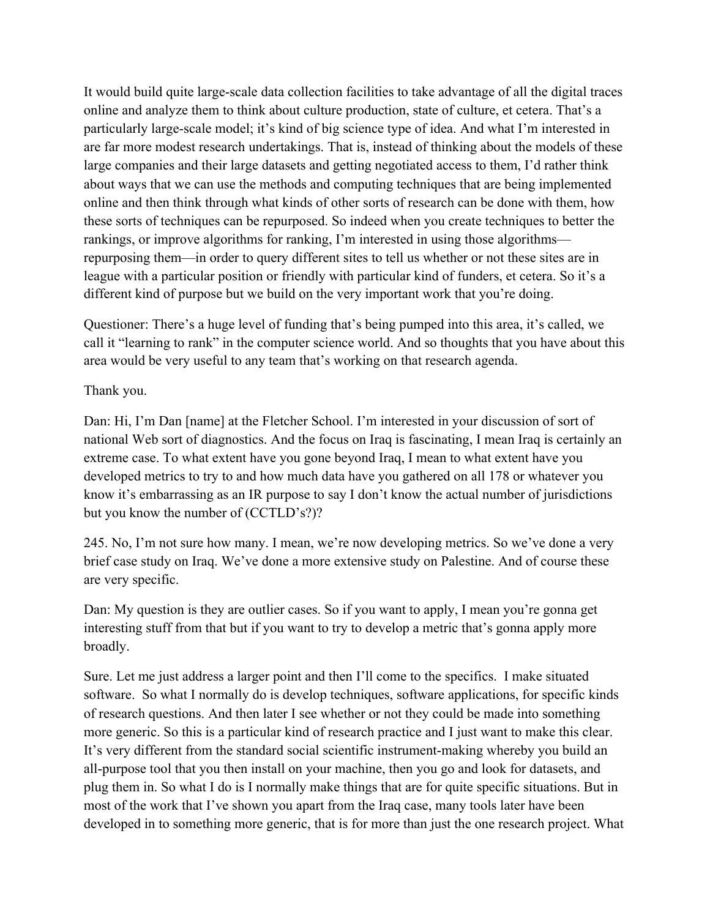It would build quite large-scale data collection facilities to take advantage of all the digital traces online and analyze them to think about culture production, state of culture, et cetera. That's a particularly large-scale model; it's kind of big science type of idea. And what I'm interested in are far more modest research undertakings. That is, instead of thinking about the models of these large companies and their large datasets and getting negotiated access to them, I'd rather think about ways that we can use the methods and computing techniques that are being implemented online and then think through what kinds of other sorts of research can be done with them, how these sorts of techniques can be repurposed. So indeed when you create techniques to better the rankings, or improve algorithms for ranking, I'm interested in using those algorithms repurposing them—in order to query different sites to tell us whether or not these sites are in league with a particular position or friendly with particular kind of funders, et cetera. So it's a different kind of purpose but we build on the very important work that you're doing.

Questioner: There's a huge level of funding that's being pumped into this area, it's called, we call it "learning to rank" in the computer science world. And so thoughts that you have about this area would be very useful to any team that's working on that research agenda.

Thank you.

Dan: Hi, I'm Dan [name] at the Fletcher School. I'm interested in your discussion of sort of national Web sort of diagnostics. And the focus on Iraq is fascinating, I mean Iraq is certainly an extreme case. To what extent have you gone beyond Iraq, I mean to what extent have you developed metrics to try to and how much data have you gathered on all 178 or whatever you know it's embarrassing as an IR purpose to say I don't know the actual number of jurisdictions but you know the number of (CCTLD's?)?

245. No, I'm not sure how many. I mean, we're now developing metrics. So we've done a very brief case study on Iraq. We've done a more extensive study on Palestine. And of course these are very specific.

Dan: My question is they are outlier cases. So if you want to apply, I mean you're gonna get interesting stuff from that but if you want to try to develop a metric that's gonna apply more broadly.

Sure. Let me just address a larger point and then I'll come to the specifics. I make situated software. So what I normally do is develop techniques, software applications, for specific kinds of research questions. And then later I see whether or not they could be made into something more generic. So this is a particular kind of research practice and I just want to make this clear. It's very different from the standard social scientific instrument-making whereby you build an all-purpose tool that you then install on your machine, then you go and look for datasets, and plug them in. So what I do is I normally make things that are for quite specific situations. But in most of the work that I've shown you apart from the Iraq case, many tools later have been developed in to something more generic, that is for more than just the one research project. What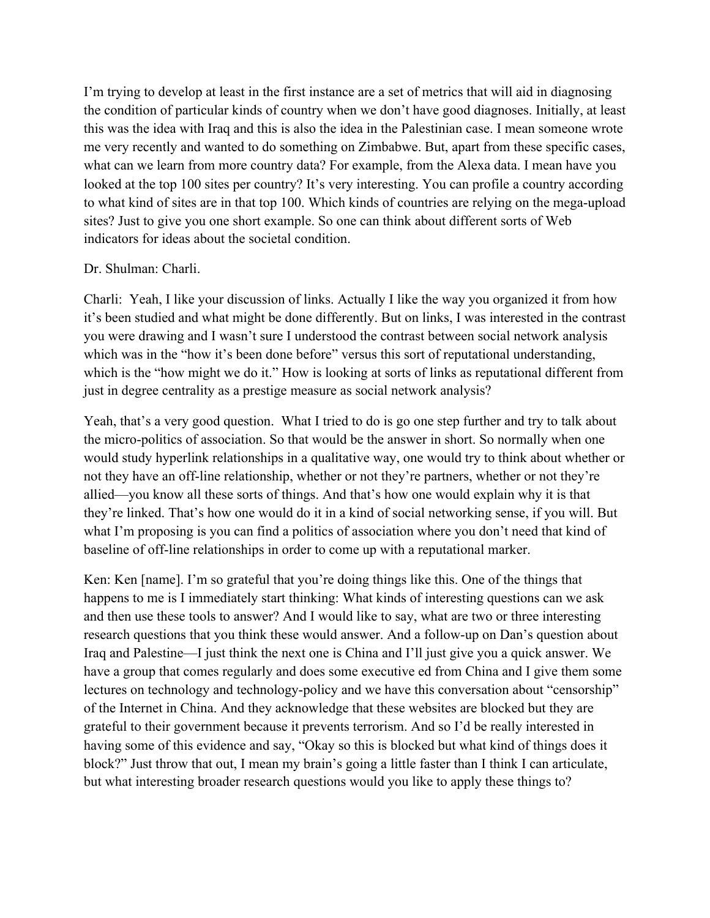I'm trying to develop at least in the first instance are a set of metrics that will aid in diagnosing the condition of particular kinds of country when we don't have good diagnoses. Initially, at least this was the idea with Iraq and this is also the idea in the Palestinian case. I mean someone wrote me very recently and wanted to do something on Zimbabwe. But, apart from these specific cases, what can we learn from more country data? For example, from the Alexa data. I mean have you looked at the top 100 sites per country? It's very interesting. You can profile a country according to what kind of sites are in that top 100. Which kinds of countries are relying on the mega-upload sites? Just to give you one short example. So one can think about different sorts of Web indicators for ideas about the societal condition.

## Dr. Shulman: Charli.

Charli: Yeah, I like your discussion of links. Actually I like the way you organized it from how it's been studied and what might be done differently. But on links, I was interested in the contrast you were drawing and I wasn't sure I understood the contrast between social network analysis which was in the "how it's been done before" versus this sort of reputational understanding, which is the "how might we do it." How is looking at sorts of links as reputational different from just in degree centrality as a prestige measure as social network analysis?

Yeah, that's a very good question. What I tried to do is go one step further and try to talk about the micro-politics of association. So that would be the answer in short. So normally when one would study hyperlink relationships in a qualitative way, one would try to think about whether or not they have an off-line relationship, whether or not they're partners, whether or not they're allied—you know all these sorts of things. And that's how one would explain why it is that they're linked. That's how one would do it in a kind of social networking sense, if you will. But what I'm proposing is you can find a politics of association where you don't need that kind of baseline of off-line relationships in order to come up with a reputational marker.

Ken: Ken [name]. I'm so grateful that you're doing things like this. One of the things that happens to me is I immediately start thinking: What kinds of interesting questions can we ask and then use these tools to answer? And I would like to say, what are two or three interesting research questions that you think these would answer. And a follow-up on Dan's question about Iraq and Palestine—I just think the next one is China and I'll just give you a quick answer. We have a group that comes regularly and does some executive ed from China and I give them some lectures on technology and technology-policy and we have this conversation about "censorship" of the Internet in China. And they acknowledge that these websites are blocked but they are grateful to their government because it prevents terrorism. And so I'd be really interested in having some of this evidence and say, "Okay so this is blocked but what kind of things does it block?" Just throw that out, I mean my brain's going a little faster than I think I can articulate, but what interesting broader research questions would you like to apply these things to?